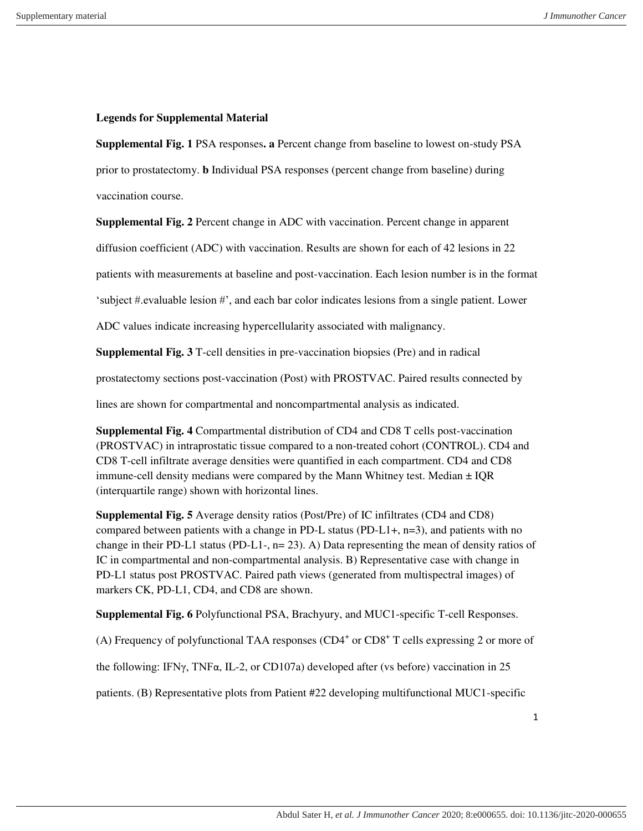## **Legends for Supplemental Material**

**Supplemental Fig. 1** PSA responses**. a** Percent change from baseline to lowest on-study PSA prior to prostatectomy. **b** Individual PSA responses (percent change from baseline) during vaccination course.

**Supplemental Fig. 2** Percent change in ADC with vaccination. Percent change in apparent

diffusion coefficient (ADC) with vaccination. Results are shown for each of 42 lesions in 22

patients with measurements at baseline and post-vaccination. Each lesion number is in the format

'subject #.evaluable lesion #', and each bar color indicates lesions from a single patient. Lower

ADC values indicate increasing hypercellularity associated with malignancy.

**Supplemental Fig. 3** T-cell densities in pre-vaccination biopsies (Pre) and in radical

prostatectomy sections post-vaccination (Post) with PROSTVAC. Paired results connected by

lines are shown for compartmental and noncompartmental analysis as indicated.

**Supplemental Fig. 4** Compartmental distribution of CD4 and CD8 T cells post-vaccination (PROSTVAC) in intraprostatic tissue compared to a non-treated cohort (CONTROL). CD4 and CD8 T-cell infiltrate average densities were quantified in each compartment. CD4 and CD8 immune-cell density medians were compared by the Mann Whitney test. Median  $\pm$  IQR (interquartile range) shown with horizontal lines.

**Supplemental Fig. 5** Average density ratios (Post/Pre) of IC infiltrates (CD4 and CD8) compared between patients with a change in PD-L status (PD-L1+,  $n=3$ ), and patients with no change in their PD-L1 status (PD-L1-,  $n= 23$ ). A) Data representing the mean of density ratios of IC in compartmental and non-compartmental analysis. B) Representative case with change in PD-L1 status post PROSTVAC. Paired path views (generated from multispectral images) of markers CK, PD-L1, CD4, and CD8 are shown.

**Supplemental Fig. 6** Polyfunctional PSA, Brachyury, and MUC1-specific T-cell Responses.

(A) Frequency of polyfunctional TAA responses  $(CD4<sup>+</sup>$  or  $CD8<sup>+</sup>$  T cells expressing 2 or more of

the following: IFN $\gamma$ , TNF $\alpha$ , IL-2, or CD107a) developed after (vs before) vaccination in 25

patients. (B) Representative plots from Patient #22 developing multifunctional MUC1-specific

1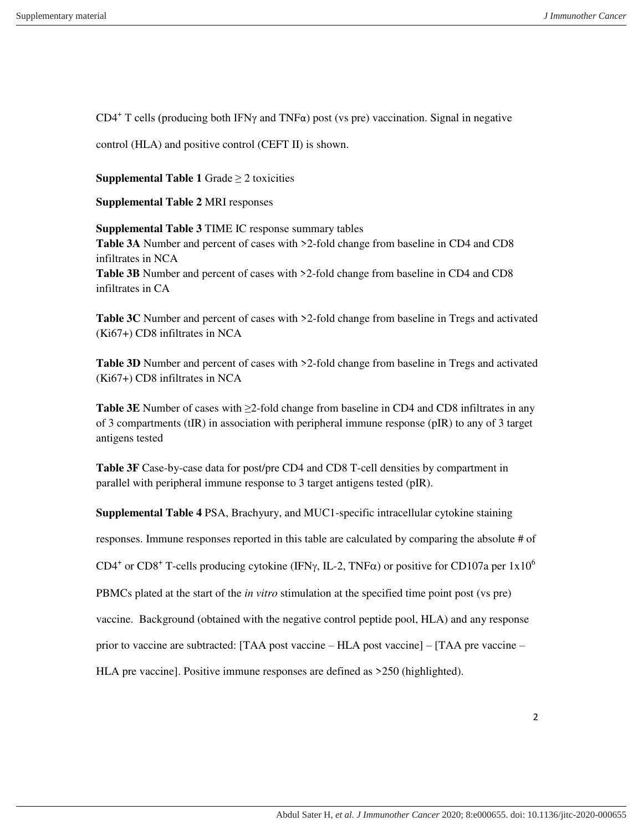CD4<sup>+</sup> T cells (producing both IFN $\gamma$  and TNF $\alpha$ ) post (vs pre) vaccination. Signal in negative

control (HLA) and positive control (CEFT II) is shown.

**Supplemental Table 1** Grade  $\geq$  2 toxicities

**Supplemental Table 2** MRI responses

**Supplemental Table 3** TIME IC response summary tables **Table 3A** Number and percent of cases with >2-fold change from baseline in CD4 and CD8 infiltrates in NCA **Table 3B** Number and percent of cases with >2-fold change from baseline in CD4 and CD8 infiltrates in CA

**Table 3C** Number and percent of cases with >2-fold change from baseline in Tregs and activated (Ki67+) CD8 infiltrates in NCA

**Table 3D** Number and percent of cases with  $>2$ -fold change from baseline in Tregs and activated (Ki67+) CD8 infiltrates in NCA

**Table 3E** Number of cases with ≥2-fold change from baseline in CD4 and CD8 infiltrates in any of 3 compartments (tIR) in association with peripheral immune response (pIR) to any of 3 target antigens tested

**Table 3F** Case-by-case data for post/pre CD4 and CD8 T-cell densities by compartment in parallel with peripheral immune response to 3 target antigens tested (pIR).

**Supplemental Table 4** PSA, Brachyury, and MUC1-specific intracellular cytokine staining

responses. Immune responses reported in this table are calculated by comparing the absolute # of

CD4<sup>+</sup> or CD8<sup>+</sup> T-cells producing cytokine (IFN $\gamma$ , IL-2, TNF $\alpha$ ) or positive for CD107a per 1x10<sup>6</sup>

PBMCs plated at the start of the *in vitro* stimulation at the specified time point post (vs pre)

vaccine. Background (obtained with the negative control peptide pool, HLA) and any response

prior to vaccine are subtracted: [TAA post vaccine – HLA post vaccine] – [TAA pre vaccine –

HLA pre vaccine]. Positive immune responses are defined as >250 (highlighted).